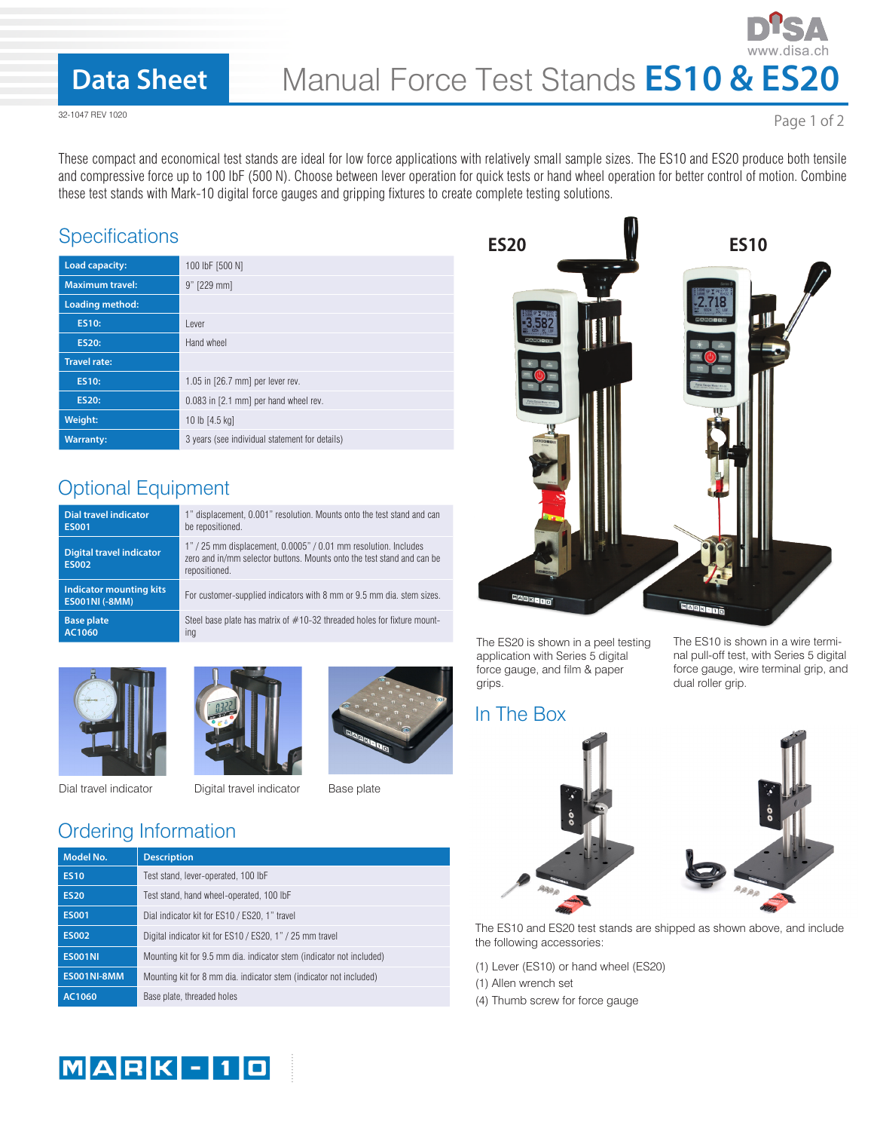## **Data Sheet**

32-1047 REV 1020

Page 1 of 2

These compact and economical test stands are ideal for low force applications with relatively small sample sizes. The ES10 and ES20 produce both tensile and compressive force up to 100 lbF (500 N). Choose between lever operation for quick tests or hand wheel operation for better control of motion. Combine these test stands with Mark-10 digital force gauges and gripping fixtures to create complete testing solutions.

#### **Specifications**

| Load capacity:         | 100 lbF [500 N]                                |
|------------------------|------------------------------------------------|
| <b>Maximum travel:</b> | 9" [229 mm]                                    |
| <b>Loading method:</b> |                                                |
| <b>ES10:</b>           | Lever                                          |
| <b>ES20:</b>           | Hand wheel                                     |
| <b>Travel rate:</b>    |                                                |
| <b>ES10:</b>           | $1.05$ in $[26.7$ mm] per lever rev.           |
| <b>ES20:</b>           | 0.083 in [2.1 mm] per hand wheel rev.          |
| Weight:                | 10 lb [4.5 kg]                                 |
| <b>Warranty:</b>       | 3 years (see individual statement for details) |

### Optional Equipment

| <b>Dial travel indicator</b>                            | 1" displacement, 0.001" resolution. Mounts onto the test stand and can                                                                                     |
|---------------------------------------------------------|------------------------------------------------------------------------------------------------------------------------------------------------------------|
| <b>ES001</b>                                            | be repositioned.                                                                                                                                           |
| <b>Digital travel indicator</b><br><b>ES002</b>         | 1" / 25 mm displacement, 0.0005" / 0.01 mm resolution. Includes<br>zero and in/mm selector buttons. Mounts onto the test stand and can be<br>repositioned. |
| <b>Indicator mounting kits</b><br><b>ES001NI (-8MM)</b> | For customer-supplied indicators with 8 mm or 9.5 mm dia, stem sizes.                                                                                      |
| <b>Base plate</b>                                       | Steel base plate has matrix of $#10-32$ threaded holes for fixture mount-                                                                                  |
| AC1060                                                  | ing                                                                                                                                                        |











## Ordering Information

| <b>Model No.</b>   | <b>Description</b>                                                   |
|--------------------|----------------------------------------------------------------------|
| <b>ES10</b>        | Test stand, lever-operated, 100 lbF                                  |
| <b>ES20</b>        | Test stand, hand wheel-operated, 100 lbF                             |
| <b>ES001</b>       | Dial indicator kit for ES10 / ES20, 1" travel                        |
| <b>ES002</b>       | Digital indicator kit for ES10 / ES20, 1" / 25 mm travel             |
| <b>ES001NI</b>     | Mounting kit for 9.5 mm dia. indicator stem (indicator not included) |
| <b>ES001NI-8MM</b> | Mounting kit for 8 mm dia. indicator stem (indicator not included)   |
| AC1060             | Base plate, threaded holes                                           |



The ES20 is shown in a peel testing application with Series 5 digital force gauge, and film & paper grips.

#### In The Box





The ES10 is shown in a wire termi-

The ES10 and ES20 test stands are shipped as shown above, and include the following accessories:

- (1) Lever (ES10) or hand wheel (ES20)
- (1) Allen wrench set
- (4) Thumb screw for force gauge